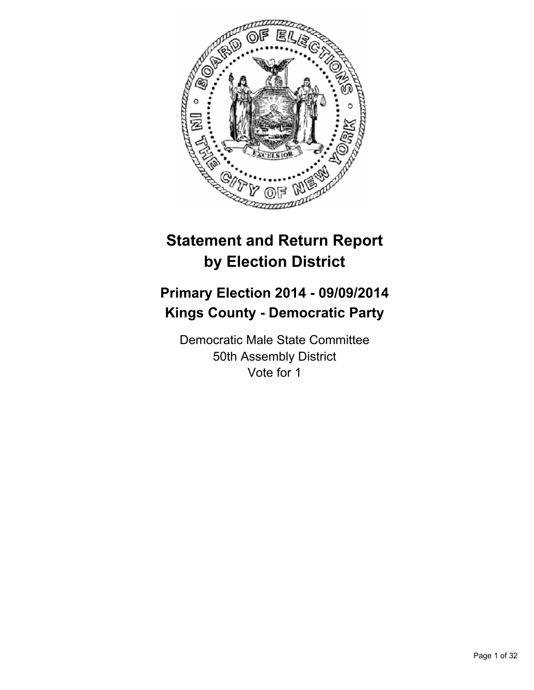

# **Statement and Return Report by Election District**

# **Primary Election 2014 - 09/09/2014 Kings County - Democratic Party**

Democratic Male State Committee 50th Assembly District Vote for 1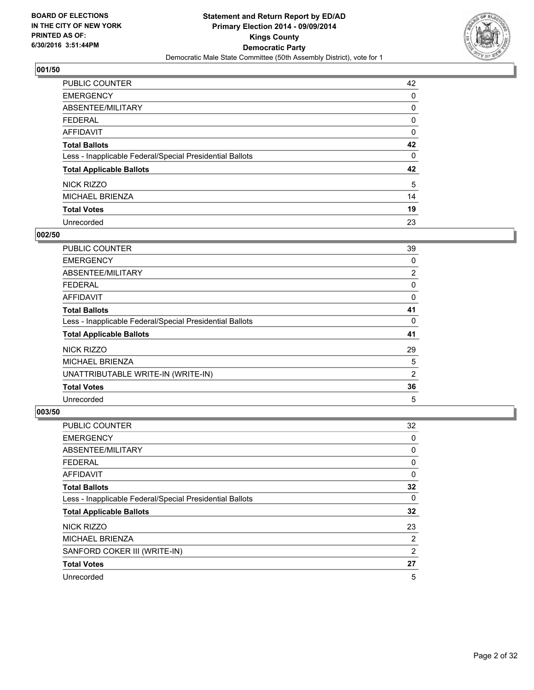

| PUBLIC COUNTER                                           | 42 |
|----------------------------------------------------------|----|
| <b>EMERGENCY</b>                                         | 0  |
| ABSENTEE/MILITARY                                        | 0  |
| <b>FEDERAL</b>                                           | 0  |
| <b>AFFIDAVIT</b>                                         | 0  |
| <b>Total Ballots</b>                                     | 42 |
| Less - Inapplicable Federal/Special Presidential Ballots | 0  |
| <b>Total Applicable Ballots</b>                          | 42 |
| <b>NICK RIZZO</b>                                        | 5  |
| <b>MICHAEL BRIENZA</b>                                   | 14 |
| <b>Total Votes</b>                                       | 19 |
| Unrecorded                                               | 23 |

## **002/50**

| <b>PUBLIC COUNTER</b>                                    | 39 |
|----------------------------------------------------------|----|
| <b>EMERGENCY</b>                                         | 0  |
| ABSENTEE/MILITARY                                        | 2  |
| <b>FEDERAL</b>                                           | 0  |
| AFFIDAVIT                                                | 0  |
| <b>Total Ballots</b>                                     | 41 |
| Less - Inapplicable Federal/Special Presidential Ballots | 0  |
| <b>Total Applicable Ballots</b>                          | 41 |
| NICK RIZZO                                               | 29 |
| <b>MICHAEL BRIENZA</b>                                   | 5  |
| UNATTRIBUTABLE WRITE-IN (WRITE-IN)                       | 2  |
| <b>Total Votes</b>                                       | 36 |
| Unrecorded                                               | 5  |

| <b>PUBLIC COUNTER</b>                                    | 32 |
|----------------------------------------------------------|----|
| <b>EMERGENCY</b>                                         | 0  |
| ABSENTEE/MILITARY                                        | 0  |
| <b>FEDERAL</b>                                           | 0  |
| AFFIDAVIT                                                | 0  |
| <b>Total Ballots</b>                                     | 32 |
| Less - Inapplicable Federal/Special Presidential Ballots | 0  |
| <b>Total Applicable Ballots</b>                          | 32 |
| NICK RIZZO                                               | 23 |
| <b>MICHAEL BRIENZA</b>                                   | 2  |
| SANFORD COKER III (WRITE-IN)                             | 2  |
| <b>Total Votes</b>                                       | 27 |
| Unrecorded                                               | 5  |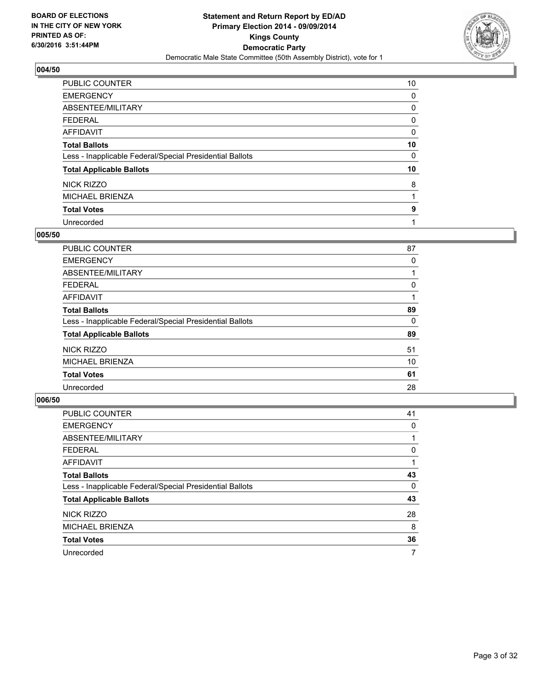

| PUBLIC COUNTER                                           | 10 |
|----------------------------------------------------------|----|
| <b>EMERGENCY</b>                                         | 0  |
| ABSENTEE/MILITARY                                        | 0  |
| <b>FEDERAL</b>                                           | 0  |
| <b>AFFIDAVIT</b>                                         | 0  |
| <b>Total Ballots</b>                                     | 10 |
| Less - Inapplicable Federal/Special Presidential Ballots | 0  |
| <b>Total Applicable Ballots</b>                          | 10 |
| NICK RIZZO                                               | 8  |
| <b>MICHAEL BRIENZA</b>                                   |    |
| <b>Total Votes</b>                                       | 9  |
| Unrecorded                                               |    |

#### **005/50**

| PUBLIC COUNTER                                           | 87 |
|----------------------------------------------------------|----|
| <b>EMERGENCY</b>                                         | 0  |
| ABSENTEE/MILITARY                                        |    |
| FEDERAL                                                  | 0  |
| AFFIDAVIT                                                |    |
| <b>Total Ballots</b>                                     | 89 |
| Less - Inapplicable Federal/Special Presidential Ballots | 0  |
| <b>Total Applicable Ballots</b>                          | 89 |
| NICK RIZZO                                               | 51 |
| MICHAEL BRIENZA                                          | 10 |
| <b>Total Votes</b>                                       | 61 |
| Unrecorded                                               | 28 |
|                                                          |    |

| PUBLIC COUNTER                                           | 41 |
|----------------------------------------------------------|----|
| <b>EMERGENCY</b>                                         | 0  |
| ABSENTEE/MILITARY                                        |    |
| <b>FEDERAL</b>                                           | 0  |
| <b>AFFIDAVIT</b>                                         |    |
| <b>Total Ballots</b>                                     | 43 |
| Less - Inapplicable Federal/Special Presidential Ballots | 0  |
| <b>Total Applicable Ballots</b>                          | 43 |
| NICK RIZZO                                               | 28 |
| <b>MICHAEL BRIENZA</b>                                   | 8  |
| <b>Total Votes</b>                                       | 36 |
| Unrecorded                                               | 7  |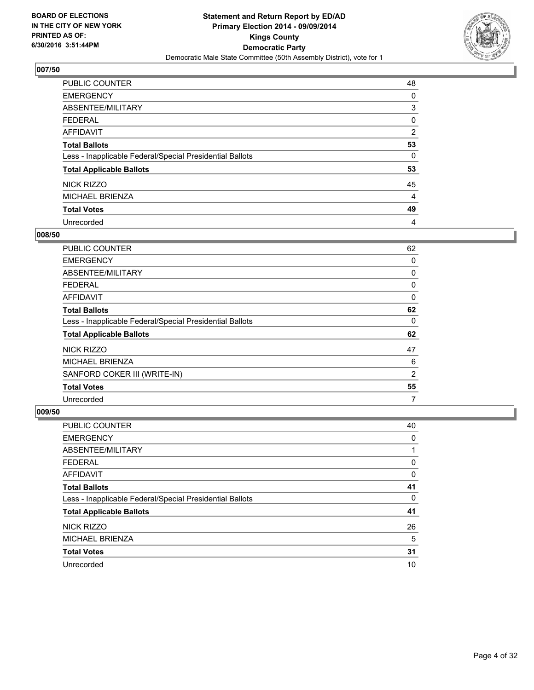

| PUBLIC COUNTER                                           | 48             |
|----------------------------------------------------------|----------------|
| <b>EMERGENCY</b>                                         | 0              |
| ABSENTEE/MILITARY                                        | 3              |
| <b>FEDERAL</b>                                           | 0              |
| <b>AFFIDAVIT</b>                                         | $\overline{2}$ |
| <b>Total Ballots</b>                                     | 53             |
| Less - Inapplicable Federal/Special Presidential Ballots | 0              |
| <b>Total Applicable Ballots</b>                          | 53             |
| NICK RIZZO                                               | 45             |
| <b>MICHAEL BRIENZA</b>                                   | 4              |
| <b>Total Votes</b>                                       | 49             |
| Unrecorded                                               | 4              |

#### **008/50**

| <b>PUBLIC COUNTER</b>                                    | 62             |
|----------------------------------------------------------|----------------|
| <b>EMERGENCY</b>                                         | 0              |
| ABSENTEE/MILITARY                                        | 0              |
| <b>FEDERAL</b>                                           | 0              |
| AFFIDAVIT                                                | 0              |
| <b>Total Ballots</b>                                     | 62             |
| Less - Inapplicable Federal/Special Presidential Ballots | 0              |
| <b>Total Applicable Ballots</b>                          | 62             |
| NICK RIZZO                                               | 47             |
| <b>MICHAEL BRIENZA</b>                                   | 6              |
| SANFORD COKER III (WRITE-IN)                             | $\overline{2}$ |
| <b>Total Votes</b>                                       | 55             |
| Unrecorded                                               | 7              |

| <b>PUBLIC COUNTER</b>                                    | 40 |
|----------------------------------------------------------|----|
| <b>EMERGENCY</b>                                         | 0  |
| ABSENTEE/MILITARY                                        |    |
| <b>FEDERAL</b>                                           | 0  |
| AFFIDAVIT                                                | 0  |
| <b>Total Ballots</b>                                     | 41 |
| Less - Inapplicable Federal/Special Presidential Ballots | 0  |
| <b>Total Applicable Ballots</b>                          | 41 |
| NICK RIZZO                                               | 26 |
| <b>MICHAEL BRIENZA</b>                                   | 5  |
| <b>Total Votes</b>                                       | 31 |
| Unrecorded                                               | 10 |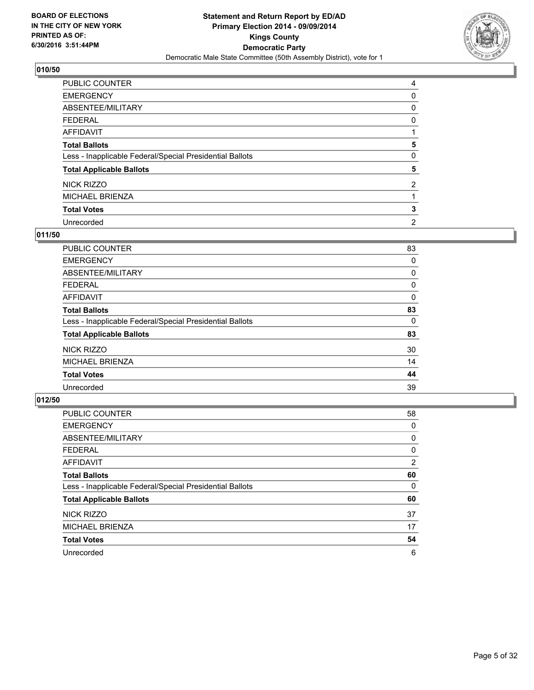

| PUBLIC COUNTER                                           | 4              |
|----------------------------------------------------------|----------------|
| <b>EMERGENCY</b>                                         | 0              |
| ABSENTEE/MILITARY                                        | 0              |
| <b>FEDERAL</b>                                           | 0              |
| <b>AFFIDAVIT</b>                                         |                |
| <b>Total Ballots</b>                                     | 5              |
| Less - Inapplicable Federal/Special Presidential Ballots | 0              |
| <b>Total Applicable Ballots</b>                          | 5              |
| NICK RIZZO                                               | $\overline{2}$ |
| <b>MICHAEL BRIENZA</b>                                   |                |
| <b>Total Votes</b>                                       | 3              |
| Unrecorded                                               | $\overline{2}$ |

## **011/50**

| PUBLIC COUNTER                                           | 83 |
|----------------------------------------------------------|----|
| <b>EMERGENCY</b>                                         | 0  |
| ABSENTEE/MILITARY                                        | 0  |
| <b>FEDERAL</b>                                           | 0  |
| AFFIDAVIT                                                | 0  |
| <b>Total Ballots</b>                                     | 83 |
| Less - Inapplicable Federal/Special Presidential Ballots | 0  |
| <b>Total Applicable Ballots</b>                          | 83 |
| NICK RIZZO                                               | 30 |
| <b>MICHAEL BRIENZA</b>                                   | 14 |
| <b>Total Votes</b>                                       | 44 |
| Unrecorded                                               | 39 |

| PUBLIC COUNTER                                           | 58             |
|----------------------------------------------------------|----------------|
| <b>EMERGENCY</b>                                         | 0              |
| ABSENTEE/MILITARY                                        | 0              |
| <b>FEDERAL</b>                                           | 0              |
| AFFIDAVIT                                                | $\overline{2}$ |
| <b>Total Ballots</b>                                     | 60             |
| Less - Inapplicable Federal/Special Presidential Ballots | 0              |
| <b>Total Applicable Ballots</b>                          | 60             |
| NICK RIZZO                                               | 37             |
| <b>MICHAEL BRIENZA</b>                                   | 17             |
| <b>Total Votes</b>                                       | 54             |
| Unrecorded                                               | 6              |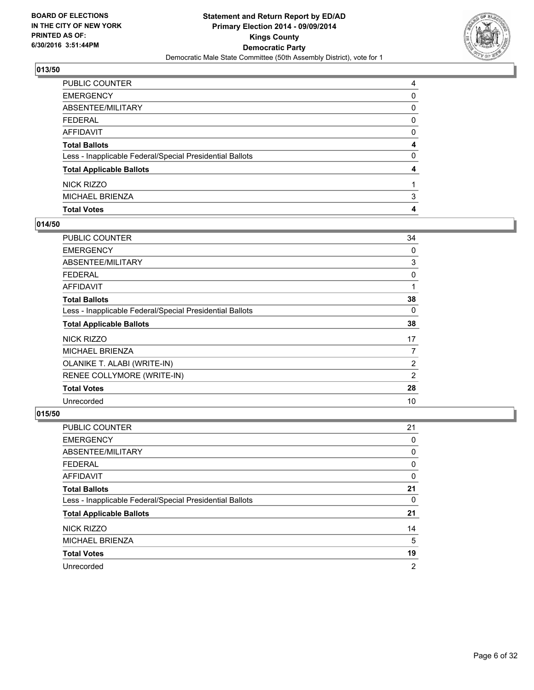

| PUBLIC COUNTER                                           | 4 |
|----------------------------------------------------------|---|
| <b>EMERGENCY</b>                                         | 0 |
| <b>ABSENTEE/MILITARY</b>                                 | 0 |
| <b>FEDERAL</b>                                           | 0 |
| AFFIDAVIT                                                | 0 |
| <b>Total Ballots</b>                                     | 4 |
| Less - Inapplicable Federal/Special Presidential Ballots | 0 |
| <b>Total Applicable Ballots</b>                          | 4 |
| NICK RIZZO                                               |   |
| <b>MICHAEL BRIENZA</b>                                   | 3 |
| <b>Total Votes</b>                                       | 4 |

## **014/50**

| PUBLIC COUNTER                                           | 34             |
|----------------------------------------------------------|----------------|
| <b>EMERGENCY</b>                                         | 0              |
| ABSENTEE/MILITARY                                        | 3              |
| <b>FEDERAL</b>                                           | 0              |
| <b>AFFIDAVIT</b>                                         | 1              |
| <b>Total Ballots</b>                                     | 38             |
| Less - Inapplicable Federal/Special Presidential Ballots | 0              |
| <b>Total Applicable Ballots</b>                          | 38             |
| NICK RIZZO                                               | 17             |
| MICHAEL BRIENZA                                          | 7              |
| OLANIKE T. ALABI (WRITE-IN)                              | $\overline{2}$ |
| RENEE COLLYMORE (WRITE-IN)                               | 2              |
| <b>Total Votes</b>                                       | 28             |
| Unrecorded                                               | 10             |

| PUBLIC COUNTER                                           | 21 |
|----------------------------------------------------------|----|
| <b>EMERGENCY</b>                                         | 0  |
| ABSENTEE/MILITARY                                        | 0  |
| <b>FEDERAL</b>                                           | 0  |
| AFFIDAVIT                                                | 0  |
| <b>Total Ballots</b>                                     | 21 |
| Less - Inapplicable Federal/Special Presidential Ballots | 0  |
| <b>Total Applicable Ballots</b>                          | 21 |
| NICK RIZZO                                               | 14 |
| <b>MICHAEL BRIENZA</b>                                   | 5  |
| <b>Total Votes</b>                                       | 19 |
| Unrecorded                                               | 2  |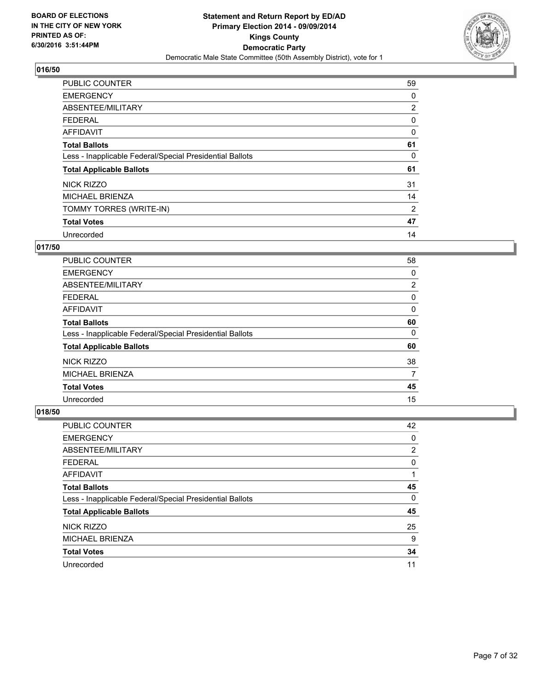

| <b>PUBLIC COUNTER</b>                                    | 59             |
|----------------------------------------------------------|----------------|
| <b>EMERGENCY</b>                                         | 0              |
| ABSENTEE/MILITARY                                        | $\overline{2}$ |
| <b>FEDERAL</b>                                           | 0              |
| AFFIDAVIT                                                | 0              |
| <b>Total Ballots</b>                                     | 61             |
| Less - Inapplicable Federal/Special Presidential Ballots | 0              |
| <b>Total Applicable Ballots</b>                          | 61             |
| <b>NICK RIZZO</b>                                        | 31             |
| <b>MICHAEL BRIENZA</b>                                   | 14             |
| TOMMY TORRES (WRITE-IN)                                  | 2              |
| <b>Total Votes</b>                                       | 47             |
| Unrecorded                                               | 14             |

# **017/50**

| <b>PUBLIC COUNTER</b>                                    | 58 |
|----------------------------------------------------------|----|
| <b>EMERGENCY</b>                                         | 0  |
| ABSENTEE/MILITARY                                        | 2  |
| <b>FEDERAL</b>                                           | 0  |
| AFFIDAVIT                                                | 0  |
| <b>Total Ballots</b>                                     | 60 |
| Less - Inapplicable Federal/Special Presidential Ballots | 0  |
| <b>Total Applicable Ballots</b>                          | 60 |
| NICK RIZZO                                               | 38 |
| <b>MICHAEL BRIENZA</b>                                   | 7  |
| <b>Total Votes</b>                                       | 45 |
| Unrecorded                                               | 15 |

| PUBLIC COUNTER                                           | 42                    |
|----------------------------------------------------------|-----------------------|
| <b>EMERGENCY</b>                                         | 0                     |
| ABSENTEE/MILITARY                                        | $\mathbf{2}^{\prime}$ |
| <b>FEDERAL</b>                                           | 0                     |
| <b>AFFIDAVIT</b>                                         |                       |
| <b>Total Ballots</b>                                     | 45                    |
| Less - Inapplicable Federal/Special Presidential Ballots | 0                     |
| <b>Total Applicable Ballots</b>                          | 45                    |
| NICK RIZZO                                               | 25                    |
| <b>MICHAEL BRIENZA</b>                                   | 9                     |
| <b>Total Votes</b>                                       | 34                    |
| Unrecorded                                               | 11                    |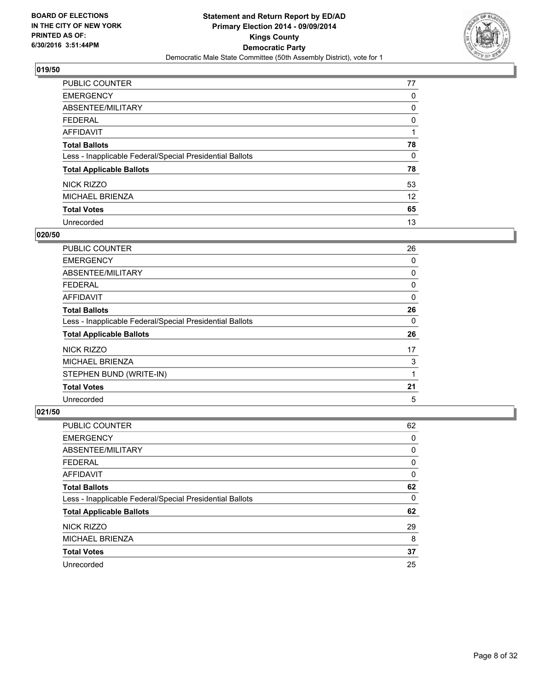

| PUBLIC COUNTER                                           | 77 |
|----------------------------------------------------------|----|
| <b>EMERGENCY</b>                                         | 0  |
| ABSENTEE/MILITARY                                        | 0  |
| <b>FEDERAL</b>                                           | 0  |
| <b>AFFIDAVIT</b>                                         |    |
| <b>Total Ballots</b>                                     | 78 |
| Less - Inapplicable Federal/Special Presidential Ballots | 0  |
| <b>Total Applicable Ballots</b>                          | 78 |
| <b>NICK RIZZO</b>                                        | 53 |
| <b>MICHAEL BRIENZA</b>                                   | 12 |
| <b>Total Votes</b>                                       | 65 |
| Unrecorded                                               | 13 |

#### **020/50**

| PUBLIC COUNTER                                           | 26 |
|----------------------------------------------------------|----|
| <b>EMERGENCY</b>                                         | 0  |
| ABSENTEE/MILITARY                                        | 0  |
| <b>FEDERAL</b>                                           | 0  |
| AFFIDAVIT                                                | 0  |
| <b>Total Ballots</b>                                     | 26 |
| Less - Inapplicable Federal/Special Presidential Ballots | 0  |
| <b>Total Applicable Ballots</b>                          | 26 |
| NICK RIZZO                                               | 17 |
| <b>MICHAEL BRIENZA</b>                                   | 3  |
| STEPHEN BUND (WRITE-IN)                                  |    |
| <b>Total Votes</b>                                       | 21 |
| Unrecorded                                               | 5  |

| PUBLIC COUNTER                                           | 62 |
|----------------------------------------------------------|----|
| <b>EMERGENCY</b>                                         | 0  |
| ABSENTEE/MILITARY                                        | 0  |
| <b>FEDERAL</b>                                           | 0  |
| AFFIDAVIT                                                | 0  |
| <b>Total Ballots</b>                                     | 62 |
| Less - Inapplicable Federal/Special Presidential Ballots | 0  |
| <b>Total Applicable Ballots</b>                          | 62 |
| NICK RIZZO                                               | 29 |
| <b>MICHAEL BRIENZA</b>                                   | 8  |
| <b>Total Votes</b>                                       | 37 |
| Unrecorded                                               | 25 |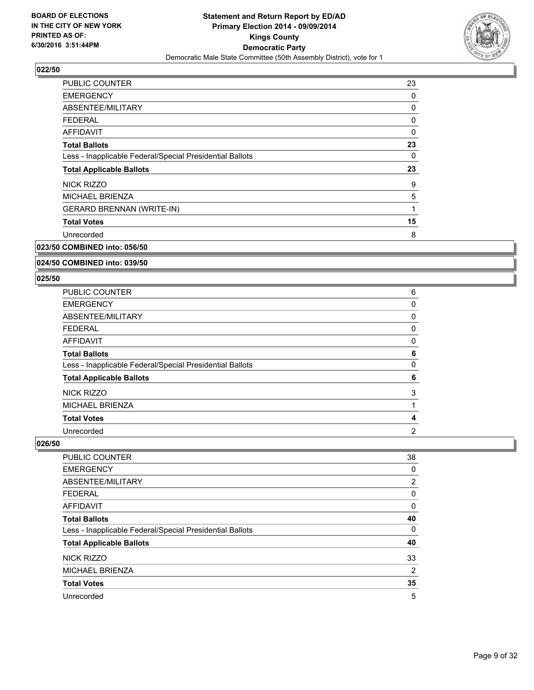

| <b>PUBLIC COUNTER</b>                                    | 23 |
|----------------------------------------------------------|----|
| <b>EMERGENCY</b>                                         | 0  |
| ABSENTEE/MILITARY                                        | 0  |
| <b>FEDERAL</b>                                           | 0  |
| <b>AFFIDAVIT</b>                                         | 0  |
| <b>Total Ballots</b>                                     | 23 |
| Less - Inapplicable Federal/Special Presidential Ballots | 0  |
| <b>Total Applicable Ballots</b>                          | 23 |
| NICK RIZZO                                               | 9  |
| <b>MICHAEL BRIENZA</b>                                   | 5  |
|                                                          |    |
| <b>GERARD BRENNAN (WRITE-IN)</b>                         | 1  |
| <b>Total Votes</b>                                       | 15 |
| Unrecorded                                               | 8  |

# **023/50 COMBINED into: 056/50**

#### **024/50 COMBINED into: 039/50**

#### **025/50**

| PUBLIC COUNTER                                           | 6 |
|----------------------------------------------------------|---|
| <b>EMERGENCY</b>                                         | 0 |
| <b>ABSENTEE/MILITARY</b>                                 | 0 |
| <b>FEDERAL</b>                                           | 0 |
| AFFIDAVIT                                                | 0 |
| <b>Total Ballots</b>                                     | 6 |
| Less - Inapplicable Federal/Special Presidential Ballots | 0 |
| <b>Total Applicable Ballots</b>                          | 6 |
| NICK RIZZO                                               | 3 |
| <b>MICHAEL BRIENZA</b>                                   |   |
| <b>Total Votes</b>                                       | 4 |
| Unrecorded                                               | 2 |

| PUBLIC COUNTER                                           | 38             |
|----------------------------------------------------------|----------------|
| <b>EMERGENCY</b>                                         | 0              |
| ABSENTEE/MILITARY                                        | $\overline{2}$ |
| <b>FEDERAL</b>                                           | 0              |
| AFFIDAVIT                                                | 0              |
| <b>Total Ballots</b>                                     | 40             |
| Less - Inapplicable Federal/Special Presidential Ballots | 0              |
| <b>Total Applicable Ballots</b>                          | 40             |
| <b>NICK RIZZO</b>                                        | 33             |
| <b>MICHAEL BRIENZA</b>                                   | 2              |
| <b>Total Votes</b>                                       | 35             |
| Unrecorded                                               | 5              |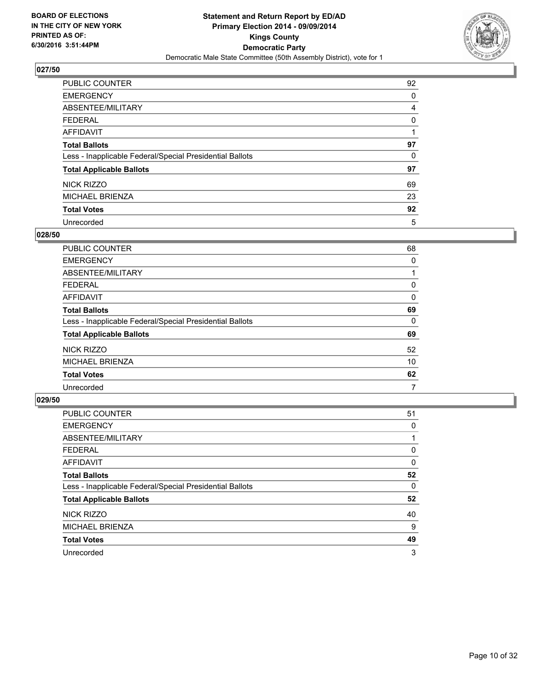

| PUBLIC COUNTER                                           | 92 |
|----------------------------------------------------------|----|
| <b>EMERGENCY</b>                                         | 0  |
| ABSENTEE/MILITARY                                        | 4  |
| <b>FEDERAL</b>                                           | 0  |
| <b>AFFIDAVIT</b>                                         |    |
| <b>Total Ballots</b>                                     | 97 |
| Less - Inapplicable Federal/Special Presidential Ballots | 0  |
| <b>Total Applicable Ballots</b>                          | 97 |
| NICK RIZZO                                               | 69 |
| <b>MICHAEL BRIENZA</b>                                   | 23 |
| <b>Total Votes</b>                                       | 92 |
| Unrecorded                                               | 5  |

#### **028/50**

| PUBLIC COUNTER                                           | 68 |
|----------------------------------------------------------|----|
| <b>EMERGENCY</b>                                         | 0  |
| ABSENTEE/MILITARY                                        |    |
| FEDERAL                                                  | 0  |
| AFFIDAVIT                                                | 0  |
| <b>Total Ballots</b>                                     | 69 |
| Less - Inapplicable Federal/Special Presidential Ballots | 0  |
| <b>Total Applicable Ballots</b>                          | 69 |
| NICK RIZZO                                               | 52 |
| <b>MICHAEL BRIENZA</b>                                   | 10 |
| <b>Total Votes</b>                                       | 62 |
| Unrecorded                                               | 7  |

| PUBLIC COUNTER                                           | 51 |
|----------------------------------------------------------|----|
| <b>EMERGENCY</b>                                         | 0  |
| ABSENTEE/MILITARY                                        |    |
| <b>FEDERAL</b>                                           | 0  |
| AFFIDAVIT                                                | 0  |
| <b>Total Ballots</b>                                     | 52 |
| Less - Inapplicable Federal/Special Presidential Ballots | 0  |
| <b>Total Applicable Ballots</b>                          | 52 |
| NICK RIZZO                                               | 40 |
| MICHAEL BRIENZA                                          | 9  |
| <b>Total Votes</b>                                       | 49 |
| Unrecorded                                               | 3  |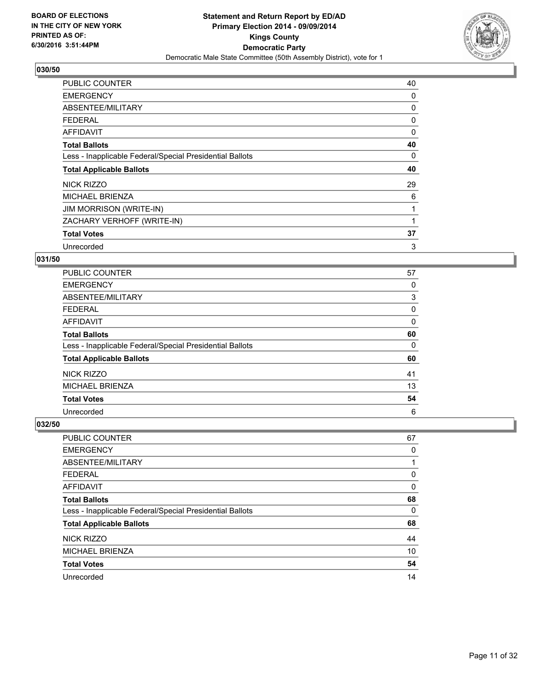

| <b>PUBLIC COUNTER</b>                                    | 40 |
|----------------------------------------------------------|----|
| <b>EMERGENCY</b>                                         | 0  |
| ABSENTEE/MILITARY                                        | 0  |
| <b>FEDERAL</b>                                           | 0  |
| <b>AFFIDAVIT</b>                                         | 0  |
| <b>Total Ballots</b>                                     | 40 |
| Less - Inapplicable Federal/Special Presidential Ballots | 0  |
| <b>Total Applicable Ballots</b>                          | 40 |
| NICK RIZZO                                               | 29 |
| <b>MICHAEL BRIENZA</b>                                   | 6  |
| <b>JIM MORRISON (WRITE-IN)</b>                           | 1  |
| ZACHARY VERHOFF (WRITE-IN)                               |    |
| <b>Total Votes</b>                                       | 37 |
|                                                          |    |

## **031/50**

| <b>PUBLIC COUNTER</b>                                    | 57 |
|----------------------------------------------------------|----|
| <b>EMERGENCY</b>                                         | 0  |
| ABSENTEE/MILITARY                                        | 3  |
| <b>FEDERAL</b>                                           | 0  |
| AFFIDAVIT                                                | 0  |
| <b>Total Ballots</b>                                     | 60 |
| Less - Inapplicable Federal/Special Presidential Ballots | 0  |
| <b>Total Applicable Ballots</b>                          | 60 |
| NICK RIZZO                                               | 41 |
| MICHAEL BRIENZA                                          | 13 |
| <b>Total Votes</b>                                       | 54 |
| Unrecorded                                               | 6  |

| PUBLIC COUNTER                                           | 67 |
|----------------------------------------------------------|----|
| <b>EMERGENCY</b>                                         | 0  |
| ABSENTEE/MILITARY                                        |    |
| <b>FEDERAL</b>                                           | 0  |
| <b>AFFIDAVIT</b>                                         | 0  |
| <b>Total Ballots</b>                                     | 68 |
| Less - Inapplicable Federal/Special Presidential Ballots | 0  |
| <b>Total Applicable Ballots</b>                          | 68 |
| NICK RIZZO                                               | 44 |
| <b>MICHAEL BRIENZA</b>                                   | 10 |
| <b>Total Votes</b>                                       | 54 |
| Unrecorded                                               | 14 |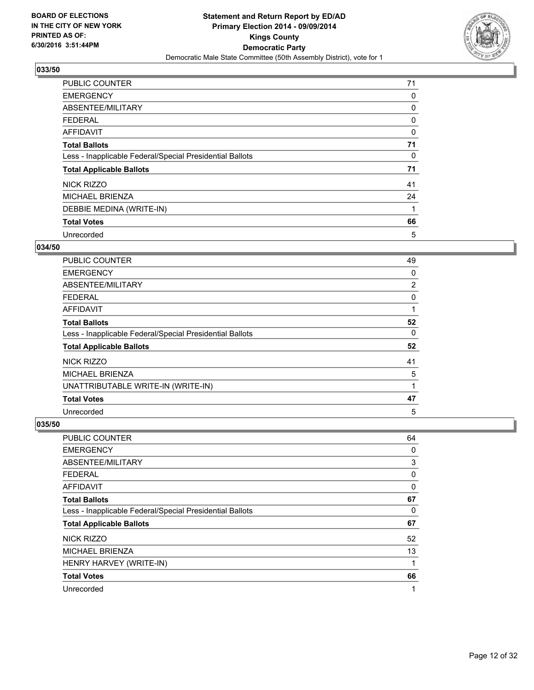

| <b>PUBLIC COUNTER</b>                                    | 71 |
|----------------------------------------------------------|----|
| <b>EMERGENCY</b>                                         | 0  |
| ABSENTEE/MILITARY                                        | 0  |
| <b>FEDERAL</b>                                           | 0  |
| <b>AFFIDAVIT</b>                                         | 0  |
| <b>Total Ballots</b>                                     | 71 |
| Less - Inapplicable Federal/Special Presidential Ballots | 0  |
| <b>Total Applicable Ballots</b>                          | 71 |
| NICK RIZZO                                               | 41 |
| <b>MICHAEL BRIENZA</b>                                   | 24 |
| DEBBIE MEDINA (WRITE-IN)                                 |    |
| <b>Total Votes</b>                                       | 66 |
| Unrecorded                                               | 5  |

## **034/50**

| <b>PUBLIC COUNTER</b>                                    | 49             |
|----------------------------------------------------------|----------------|
| <b>EMERGENCY</b>                                         | 0              |
| ABSENTEE/MILITARY                                        | $\overline{2}$ |
| <b>FEDERAL</b>                                           | 0              |
| AFFIDAVIT                                                |                |
| <b>Total Ballots</b>                                     | 52             |
| Less - Inapplicable Federal/Special Presidential Ballots | 0              |
| <b>Total Applicable Ballots</b>                          | 52             |
| NICK RIZZO                                               | 41             |
| MICHAEL BRIENZA                                          | 5              |
| UNATTRIBUTABLE WRITE-IN (WRITE-IN)                       | 1              |
| <b>Total Votes</b>                                       | 47             |
| Unrecorded                                               | 5              |

| PUBLIC COUNTER                                           | 64 |
|----------------------------------------------------------|----|
| <b>EMERGENCY</b>                                         | 0  |
| ABSENTEE/MILITARY                                        | 3  |
| <b>FEDERAL</b>                                           | 0  |
| AFFIDAVIT                                                | 0  |
| <b>Total Ballots</b>                                     | 67 |
| Less - Inapplicable Federal/Special Presidential Ballots | 0  |
| <b>Total Applicable Ballots</b>                          | 67 |
| NICK RIZZO                                               | 52 |
| <b>MICHAEL BRIENZA</b>                                   | 13 |
| HENRY HARVEY (WRITE-IN)                                  | 1  |
| <b>Total Votes</b>                                       | 66 |
| Unrecorded                                               | 1  |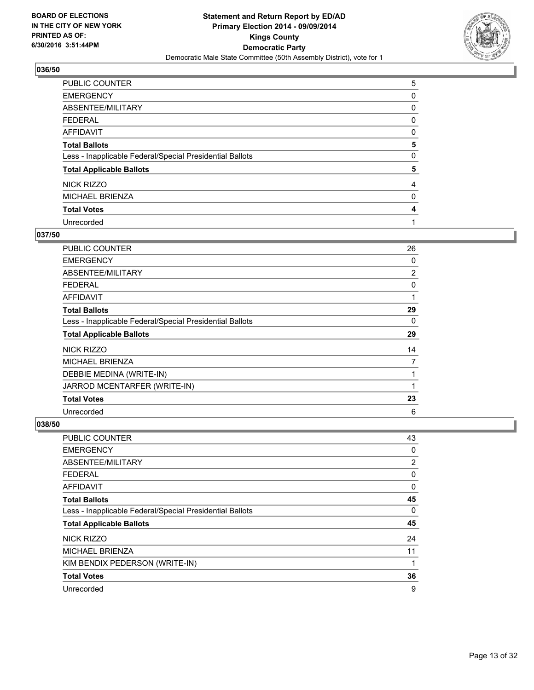

| PUBLIC COUNTER                                           | 5 |
|----------------------------------------------------------|---|
| <b>EMERGENCY</b>                                         | 0 |
| ABSENTEE/MILITARY                                        | 0 |
| <b>FEDERAL</b>                                           | 0 |
| <b>AFFIDAVIT</b>                                         | 0 |
| <b>Total Ballots</b>                                     | 5 |
| Less - Inapplicable Federal/Special Presidential Ballots | 0 |
| <b>Total Applicable Ballots</b>                          | 5 |
| <b>NICK RIZZO</b>                                        | 4 |
| <b>MICHAEL BRIENZA</b>                                   | 0 |
| <b>Total Votes</b>                                       | 4 |
| Unrecorded                                               |   |

#### **037/50**

| PUBLIC COUNTER                                           | 26             |
|----------------------------------------------------------|----------------|
| <b>EMERGENCY</b>                                         | 0              |
| ABSENTEE/MILITARY                                        | $\overline{2}$ |
| <b>FEDERAL</b>                                           | 0              |
| AFFIDAVIT                                                | 1              |
| <b>Total Ballots</b>                                     | 29             |
| Less - Inapplicable Federal/Special Presidential Ballots | 0              |
| <b>Total Applicable Ballots</b>                          | 29             |
| NICK RIZZO                                               | 14             |
| MICHAEL BRIENZA                                          | 7              |
| DEBBIE MEDINA (WRITE-IN)                                 |                |
| JARROD MCENTARFER (WRITE-IN)                             |                |
| <b>Total Votes</b>                                       | 23             |
| Unrecorded                                               | 6              |

| PUBLIC COUNTER                                           | 43 |
|----------------------------------------------------------|----|
| <b>EMERGENCY</b>                                         | 0  |
| ABSENTEE/MILITARY                                        | 2  |
| <b>FEDERAL</b>                                           | 0  |
| AFFIDAVIT                                                | 0  |
| <b>Total Ballots</b>                                     | 45 |
| Less - Inapplicable Federal/Special Presidential Ballots | 0  |
| <b>Total Applicable Ballots</b>                          | 45 |
| NICK RIZZO                                               | 24 |
| <b>MICHAEL BRIENZA</b>                                   | 11 |
| KIM BENDIX PEDERSON (WRITE-IN)                           | 1  |
| <b>Total Votes</b>                                       | 36 |
| Unrecorded                                               | 9  |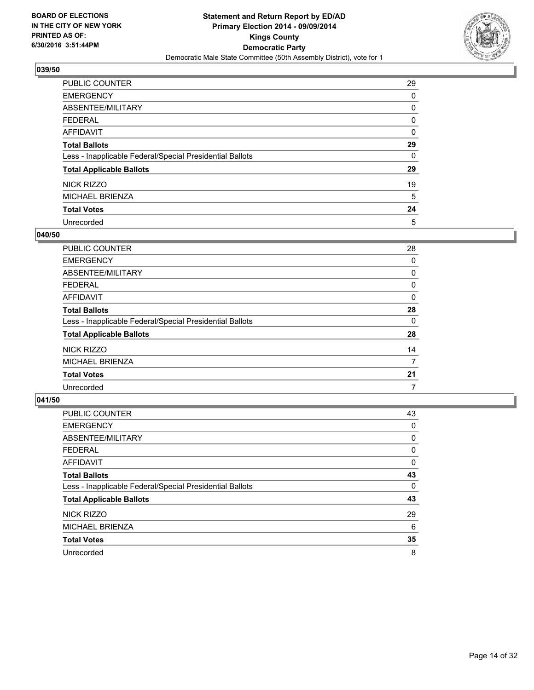

| PUBLIC COUNTER                                           | 29 |
|----------------------------------------------------------|----|
| <b>EMERGENCY</b>                                         | 0  |
| ABSENTEE/MILITARY                                        | 0  |
| <b>FEDERAL</b>                                           | 0  |
| AFFIDAVIT                                                | 0  |
| <b>Total Ballots</b>                                     | 29 |
| Less - Inapplicable Federal/Special Presidential Ballots | 0  |
| <b>Total Applicable Ballots</b>                          | 29 |
| NICK RIZZO                                               | 19 |
| <b>MICHAEL BRIENZA</b>                                   | 5  |
| <b>Total Votes</b>                                       | 24 |
| Unrecorded                                               | 5  |

#### **040/50**

| PUBLIC COUNTER                                           | 28 |
|----------------------------------------------------------|----|
| <b>EMERGENCY</b>                                         | 0  |
| ABSENTEE/MILITARY                                        | 0  |
| <b>FEDERAL</b>                                           | 0  |
| <b>AFFIDAVIT</b>                                         | 0  |
| <b>Total Ballots</b>                                     | 28 |
| Less - Inapplicable Federal/Special Presidential Ballots | 0  |
| <b>Total Applicable Ballots</b>                          | 28 |
| NICK RIZZO                                               | 14 |
| <b>MICHAEL BRIENZA</b>                                   | 7  |
| <b>Total Votes</b>                                       | 21 |
| Unrecorded                                               | 7  |
|                                                          |    |

| PUBLIC COUNTER                                           | 43 |
|----------------------------------------------------------|----|
| <b>EMERGENCY</b>                                         | 0  |
| ABSENTEE/MILITARY                                        | 0  |
| <b>FEDERAL</b>                                           | 0  |
| <b>AFFIDAVIT</b>                                         | 0  |
| <b>Total Ballots</b>                                     | 43 |
| Less - Inapplicable Federal/Special Presidential Ballots | 0  |
| <b>Total Applicable Ballots</b>                          | 43 |
| NICK RIZZO                                               | 29 |
| <b>MICHAEL BRIENZA</b>                                   | 6  |
| <b>Total Votes</b>                                       | 35 |
| Unrecorded                                               | 8  |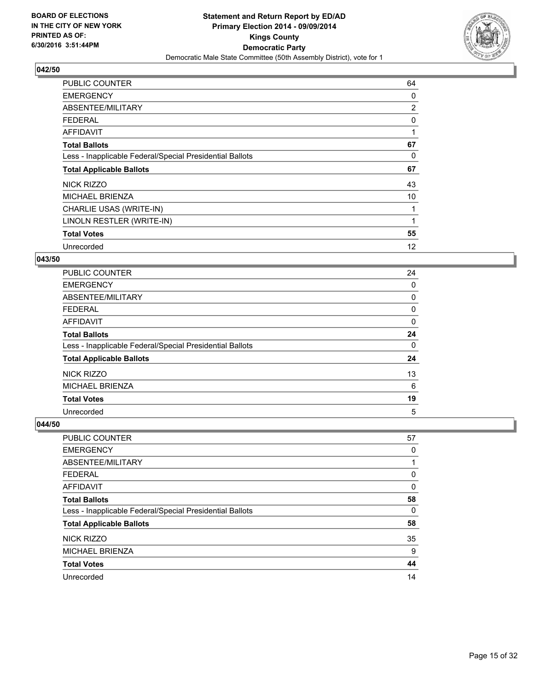

| <b>PUBLIC COUNTER</b>                                    | 64 |
|----------------------------------------------------------|----|
| <b>EMERGENCY</b>                                         | 0  |
| ABSENTEE/MILITARY                                        | 2  |
| <b>FEDERAL</b>                                           | 0  |
| <b>AFFIDAVIT</b>                                         | 1  |
| <b>Total Ballots</b>                                     | 67 |
| Less - Inapplicable Federal/Special Presidential Ballots | 0  |
| <b>Total Applicable Ballots</b>                          | 67 |
| NICK RIZZO                                               | 43 |
| <b>MICHAEL BRIENZA</b>                                   | 10 |
| CHARLIE USAS (WRITE-IN)                                  | 1  |
| LINOLN RESTLER (WRITE-IN)                                |    |
| <b>Total Votes</b>                                       | 55 |
| Unrecorded                                               | 12 |

#### **043/50**

| <b>PUBLIC COUNTER</b>                                    | 24 |
|----------------------------------------------------------|----|
| <b>EMERGENCY</b>                                         | 0  |
| ABSENTEE/MILITARY                                        | 0  |
| <b>FEDERAL</b>                                           | 0  |
| AFFIDAVIT                                                | 0  |
| <b>Total Ballots</b>                                     | 24 |
| Less - Inapplicable Federal/Special Presidential Ballots | 0  |
| <b>Total Applicable Ballots</b>                          | 24 |
| NICK RIZZO                                               | 13 |
| <b>MICHAEL BRIENZA</b>                                   | 6  |
| <b>Total Votes</b>                                       | 19 |
| Unrecorded                                               | 5  |

| PUBLIC COUNTER                                           | 57 |
|----------------------------------------------------------|----|
| <b>EMERGENCY</b>                                         | 0  |
| ABSENTEE/MILITARY                                        |    |
| <b>FEDERAL</b>                                           | 0  |
| AFFIDAVIT                                                | 0  |
| <b>Total Ballots</b>                                     | 58 |
| Less - Inapplicable Federal/Special Presidential Ballots | 0  |
| <b>Total Applicable Ballots</b>                          | 58 |
| NICK RIZZO                                               | 35 |
| <b>MICHAEL BRIENZA</b>                                   | 9  |
| <b>Total Votes</b>                                       | 44 |
| Unrecorded                                               | 14 |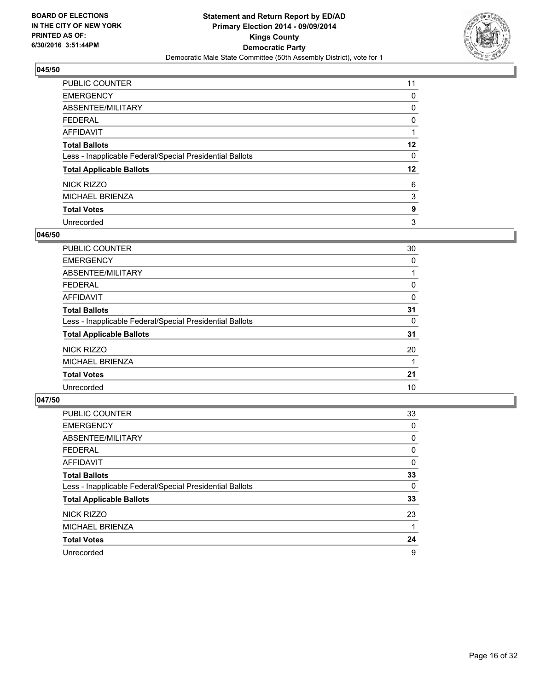

| <b>PUBLIC COUNTER</b>                                    | 11      |
|----------------------------------------------------------|---------|
| <b>EMERGENCY</b>                                         | 0       |
| ABSENTEE/MILITARY                                        | 0       |
| <b>FEDERAL</b>                                           | 0       |
| <b>AFFIDAVIT</b>                                         |         |
| <b>Total Ballots</b>                                     | $12 \,$ |
| Less - Inapplicable Federal/Special Presidential Ballots | 0       |
| <b>Total Applicable Ballots</b>                          | $12 \,$ |
| <b>NICK RIZZO</b>                                        | 6       |
| <b>MICHAEL BRIENZA</b>                                   | 3       |
| <b>Total Votes</b>                                       | 9       |
| Unrecorded                                               | 3       |

## **046/50**

| PUBLIC COUNTER                                           | 30 |
|----------------------------------------------------------|----|
| <b>EMERGENCY</b>                                         | 0  |
| ABSENTEE/MILITARY                                        |    |
| <b>FEDERAL</b>                                           | 0  |
| AFFIDAVIT                                                | 0  |
| <b>Total Ballots</b>                                     | 31 |
| Less - Inapplicable Federal/Special Presidential Ballots | 0  |
| <b>Total Applicable Ballots</b>                          | 31 |
| NICK RIZZO                                               | 20 |
| <b>MICHAEL BRIENZA</b>                                   |    |
| <b>Total Votes</b>                                       | 21 |
| Unrecorded                                               | 10 |

| PUBLIC COUNTER                                           | 33 |
|----------------------------------------------------------|----|
| <b>EMERGENCY</b>                                         | 0  |
| ABSENTEE/MILITARY                                        | 0  |
| <b>FEDERAL</b>                                           | 0  |
| AFFIDAVIT                                                | 0  |
| <b>Total Ballots</b>                                     | 33 |
| Less - Inapplicable Federal/Special Presidential Ballots | 0  |
| <b>Total Applicable Ballots</b>                          | 33 |
| NICK RIZZO                                               | 23 |
| MICHAEL BRIENZA                                          |    |
| <b>Total Votes</b>                                       | 24 |
| Unrecorded                                               | 9  |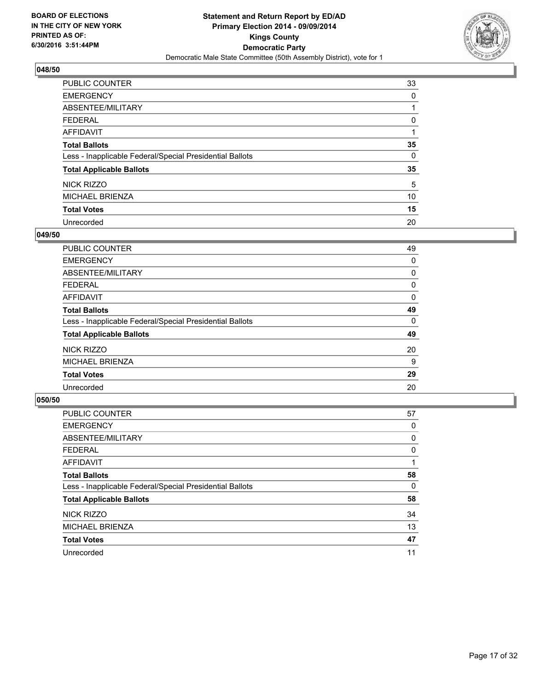

| <b>PUBLIC COUNTER</b>                                    | 33 |
|----------------------------------------------------------|----|
| <b>EMERGENCY</b>                                         | 0  |
| ABSENTEE/MILITARY                                        |    |
| <b>FEDERAL</b>                                           | 0  |
| <b>AFFIDAVIT</b>                                         |    |
| <b>Total Ballots</b>                                     | 35 |
| Less - Inapplicable Federal/Special Presidential Ballots | 0  |
| <b>Total Applicable Ballots</b>                          | 35 |
| NICK RIZZO                                               | 5  |
| <b>MICHAEL BRIENZA</b>                                   | 10 |
| <b>Total Votes</b>                                       | 15 |
| Unrecorded                                               | 20 |

## **049/50**

| PUBLIC COUNTER                                           | 49 |
|----------------------------------------------------------|----|
| <b>EMERGENCY</b>                                         | 0  |
| ABSENTEE/MILITARY                                        | 0  |
| FEDERAL                                                  | 0  |
| AFFIDAVIT                                                | 0  |
| <b>Total Ballots</b>                                     | 49 |
| Less - Inapplicable Federal/Special Presidential Ballots | 0  |
| <b>Total Applicable Ballots</b>                          | 49 |
| NICK RIZZO                                               | 20 |
| MICHAEL BRIENZA                                          | 9  |
| <b>Total Votes</b>                                       | 29 |
| Unrecorded                                               | 20 |
|                                                          |    |

| PUBLIC COUNTER                                           | 57 |
|----------------------------------------------------------|----|
| <b>EMERGENCY</b>                                         | 0  |
| ABSENTEE/MILITARY                                        | 0  |
| <b>FEDERAL</b>                                           | 0  |
| <b>AFFIDAVIT</b>                                         |    |
| <b>Total Ballots</b>                                     | 58 |
| Less - Inapplicable Federal/Special Presidential Ballots | 0  |
| <b>Total Applicable Ballots</b>                          | 58 |
| NICK RIZZO                                               | 34 |
| <b>MICHAEL BRIENZA</b>                                   | 13 |
| <b>Total Votes</b>                                       | 47 |
| Unrecorded                                               | 11 |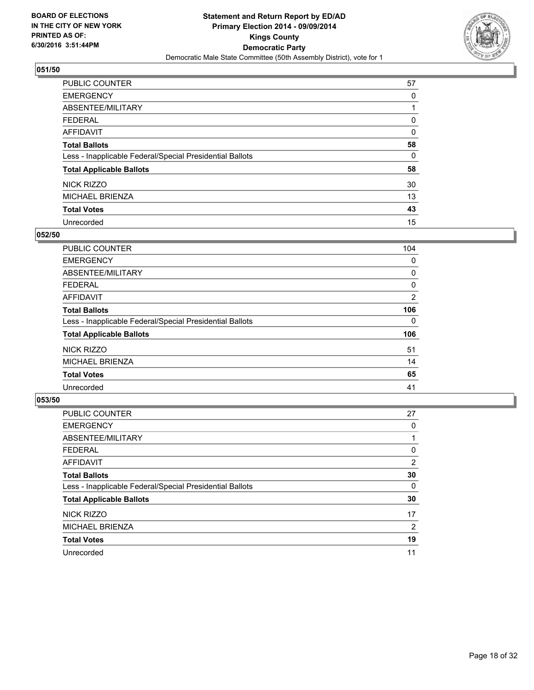

| PUBLIC COUNTER                                           | 57 |
|----------------------------------------------------------|----|
| <b>EMERGENCY</b>                                         | 0  |
| ABSENTEE/MILITARY                                        |    |
| <b>FEDERAL</b>                                           | 0  |
| <b>AFFIDAVIT</b>                                         | 0  |
| <b>Total Ballots</b>                                     | 58 |
| Less - Inapplicable Federal/Special Presidential Ballots | 0  |
| <b>Total Applicable Ballots</b>                          | 58 |
| <b>NICK RIZZO</b>                                        | 30 |
| <b>MICHAEL BRIENZA</b>                                   | 13 |
| <b>Total Votes</b>                                       | 43 |
| Unrecorded                                               | 15 |

## **052/50**

| <b>PUBLIC COUNTER</b>                                    | 104 |
|----------------------------------------------------------|-----|
| <b>EMERGENCY</b>                                         | 0   |
| ABSENTEE/MILITARY                                        | 0   |
| <b>FEDERAL</b>                                           | 0   |
| AFFIDAVIT                                                | 2   |
| <b>Total Ballots</b>                                     | 106 |
| Less - Inapplicable Federal/Special Presidential Ballots | 0   |
| <b>Total Applicable Ballots</b>                          | 106 |
| NICK RIZZO                                               | 51  |
| <b>MICHAEL BRIENZA</b>                                   | 14  |
| <b>Total Votes</b>                                       | 65  |
| Unrecorded                                               | 41  |

| PUBLIC COUNTER                                           | 27             |
|----------------------------------------------------------|----------------|
| <b>EMERGENCY</b>                                         | 0              |
| ABSENTEE/MILITARY                                        |                |
| <b>FEDERAL</b>                                           | 0              |
| AFFIDAVIT                                                | $\overline{2}$ |
| <b>Total Ballots</b>                                     | 30             |
| Less - Inapplicable Federal/Special Presidential Ballots | 0              |
| <b>Total Applicable Ballots</b>                          | 30             |
| NICK RIZZO                                               | 17             |
| MICHAEL BRIENZA                                          | 2              |
| <b>Total Votes</b>                                       | 19             |
| Unrecorded                                               | 11             |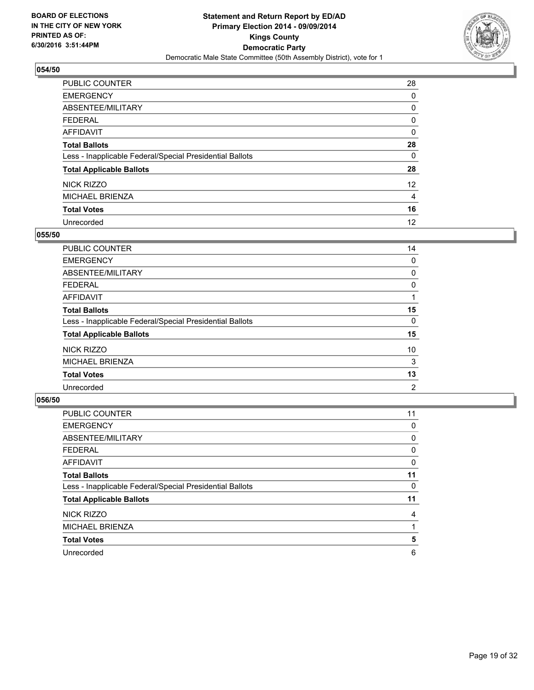

| PUBLIC COUNTER                                           | 28              |
|----------------------------------------------------------|-----------------|
| <b>EMERGENCY</b>                                         | 0               |
| ABSENTEE/MILITARY                                        | 0               |
| <b>FEDERAL</b>                                           | 0               |
| <b>AFFIDAVIT</b>                                         | 0               |
| <b>Total Ballots</b>                                     | 28              |
| Less - Inapplicable Federal/Special Presidential Ballots | 0               |
| <b>Total Applicable Ballots</b>                          | 28              |
| <b>NICK RIZZO</b>                                        | 12 <sup>2</sup> |
| <b>MICHAEL BRIENZA</b>                                   | 4               |
| <b>Total Votes</b>                                       | 16              |
| Unrecorded                                               | 12              |

#### **055/50**

| PUBLIC COUNTER                                           | 14 |
|----------------------------------------------------------|----|
| <b>EMERGENCY</b>                                         | 0  |
| ABSENTEE/MILITARY                                        | 0  |
| <b>FEDERAL</b>                                           | 0  |
| AFFIDAVIT                                                |    |
| <b>Total Ballots</b>                                     | 15 |
| Less - Inapplicable Federal/Special Presidential Ballots | 0  |
| <b>Total Applicable Ballots</b>                          | 15 |
| NICK RIZZO                                               | 10 |
| MICHAEL BRIENZA                                          | 3  |
| <b>Total Votes</b>                                       | 13 |
| Unrecorded                                               | 2  |
|                                                          |    |

| PUBLIC COUNTER                                           | 11 |
|----------------------------------------------------------|----|
| <b>EMERGENCY</b>                                         | 0  |
| ABSENTEE/MILITARY                                        | 0  |
| <b>FEDERAL</b>                                           | 0  |
| <b>AFFIDAVIT</b>                                         | 0  |
| <b>Total Ballots</b>                                     | 11 |
| Less - Inapplicable Federal/Special Presidential Ballots | 0  |
| <b>Total Applicable Ballots</b>                          | 11 |
| NICK RIZZO                                               | 4  |
| <b>MICHAEL BRIENZA</b>                                   |    |
| <b>Total Votes</b>                                       | 5  |
| Unrecorded                                               | 6  |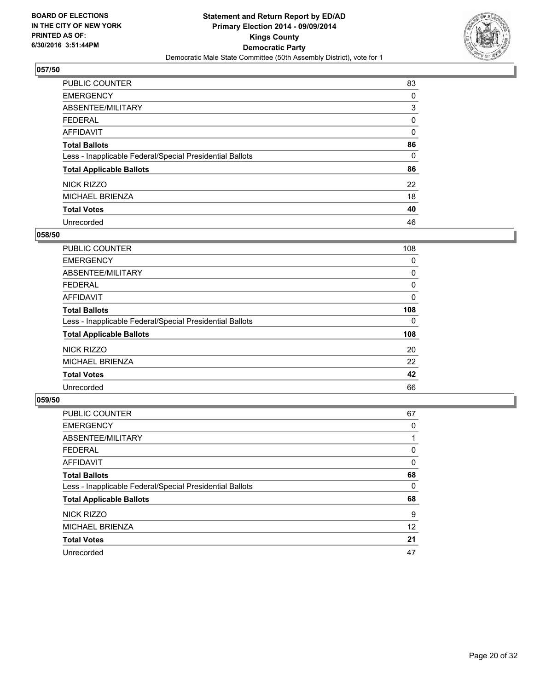

| <b>PUBLIC COUNTER</b>                                    | 83 |
|----------------------------------------------------------|----|
| <b>EMERGENCY</b>                                         | 0  |
| ABSENTEE/MILITARY                                        | 3  |
| <b>FEDERAL</b>                                           | 0  |
| <b>AFFIDAVIT</b>                                         | 0  |
| <b>Total Ballots</b>                                     | 86 |
| Less - Inapplicable Federal/Special Presidential Ballots | 0  |
| <b>Total Applicable Ballots</b>                          | 86 |
| NICK RIZZO                                               | 22 |
| <b>MICHAEL BRIENZA</b>                                   | 18 |
| <b>Total Votes</b>                                       | 40 |
| Unrecorded                                               | 46 |

#### **058/50**

| <b>PUBLIC COUNTER</b>                                    | 108 |
|----------------------------------------------------------|-----|
| <b>EMERGENCY</b>                                         | 0   |
| ABSENTEE/MILITARY                                        | 0   |
| <b>FEDERAL</b>                                           | 0   |
| AFFIDAVIT                                                | 0   |
| <b>Total Ballots</b>                                     | 108 |
| Less - Inapplicable Federal/Special Presidential Ballots | 0   |
| <b>Total Applicable Ballots</b>                          | 108 |
| NICK RIZZO                                               | 20  |
| <b>MICHAEL BRIENZA</b>                                   | 22  |
| <b>Total Votes</b>                                       | 42  |
| Unrecorded                                               | 66  |

| PUBLIC COUNTER                                           | 67 |
|----------------------------------------------------------|----|
| <b>EMERGENCY</b>                                         | 0  |
| ABSENTEE/MILITARY                                        |    |
| <b>FEDERAL</b>                                           | 0  |
| <b>AFFIDAVIT</b>                                         | 0  |
| <b>Total Ballots</b>                                     | 68 |
| Less - Inapplicable Federal/Special Presidential Ballots | 0  |
| <b>Total Applicable Ballots</b>                          | 68 |
| NICK RIZZO                                               | 9  |
| MICHAEL BRIENZA                                          | 12 |
| <b>Total Votes</b>                                       | 21 |
| Unrecorded                                               | 47 |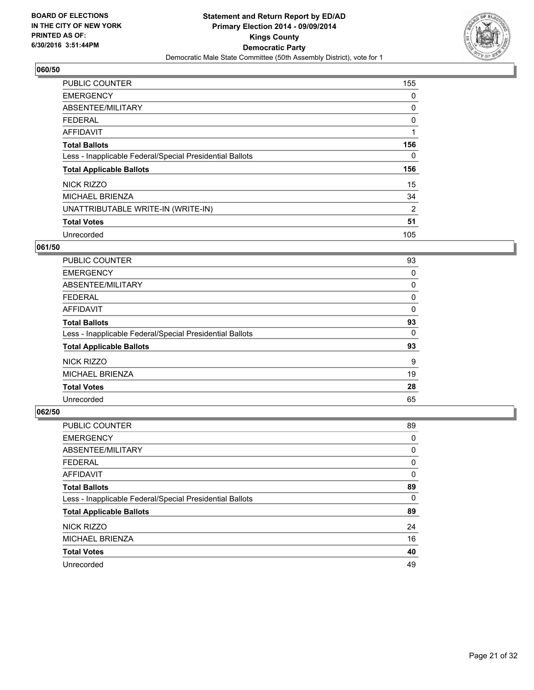

| <b>PUBLIC COUNTER</b>                                    | 155 |
|----------------------------------------------------------|-----|
| <b>EMERGENCY</b>                                         | 0   |
| ABSENTEE/MILITARY                                        | 0   |
| <b>FEDERAL</b>                                           | 0   |
| <b>AFFIDAVIT</b>                                         |     |
| <b>Total Ballots</b>                                     | 156 |
| Less - Inapplicable Federal/Special Presidential Ballots | 0   |
| <b>Total Applicable Ballots</b>                          | 156 |
| NICK RIZZO                                               | 15  |
| <b>MICHAEL BRIENZA</b>                                   | 34  |
| UNATTRIBUTABLE WRITE-IN (WRITE-IN)                       | 2   |
| <b>Total Votes</b>                                       | 51  |
| Unrecorded                                               | 105 |

### **061/50**

| <b>PUBLIC COUNTER</b>                                    | 93 |
|----------------------------------------------------------|----|
| <b>EMERGENCY</b>                                         | 0  |
| ABSENTEE/MILITARY                                        | 0  |
| <b>FEDERAL</b>                                           | 0  |
| AFFIDAVIT                                                | 0  |
| <b>Total Ballots</b>                                     | 93 |
| Less - Inapplicable Federal/Special Presidential Ballots | 0  |
| <b>Total Applicable Ballots</b>                          | 93 |
| NICK RIZZO                                               | 9  |
| <b>MICHAEL BRIENZA</b>                                   | 19 |
| <b>Total Votes</b>                                       | 28 |
| Unrecorded                                               | 65 |

| <b>PUBLIC COUNTER</b>                                    | 89 |
|----------------------------------------------------------|----|
| <b>EMERGENCY</b>                                         | 0  |
| ABSENTEE/MILITARY                                        | 0  |
| <b>FEDERAL</b>                                           | 0  |
| AFFIDAVIT                                                | 0  |
| <b>Total Ballots</b>                                     | 89 |
| Less - Inapplicable Federal/Special Presidential Ballots | 0  |
| <b>Total Applicable Ballots</b>                          | 89 |
| NICK RIZZO                                               | 24 |
| <b>MICHAEL BRIENZA</b>                                   | 16 |
| <b>Total Votes</b>                                       | 40 |
| Unrecorded                                               | 49 |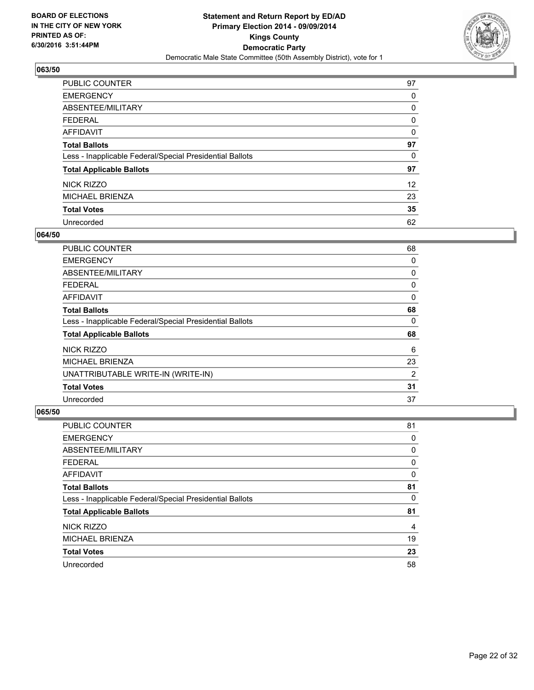

| PUBLIC COUNTER                                           | 97              |
|----------------------------------------------------------|-----------------|
| <b>EMERGENCY</b>                                         | 0               |
| ABSENTEE/MILITARY                                        | 0               |
| <b>FEDERAL</b>                                           | 0               |
| <b>AFFIDAVIT</b>                                         | 0               |
| <b>Total Ballots</b>                                     | 97              |
| Less - Inapplicable Federal/Special Presidential Ballots | 0               |
| <b>Total Applicable Ballots</b>                          | 97              |
| <b>NICK RIZZO</b>                                        | 12 <sup>2</sup> |
| MICHAEL BRIENZA                                          | 23              |
| <b>Total Votes</b>                                       | 35              |
| Unrecorded                                               | 62              |

## **064/50**

| <b>PUBLIC COUNTER</b>                                    | 68 |
|----------------------------------------------------------|----|
| <b>EMERGENCY</b>                                         | 0  |
| ABSENTEE/MILITARY                                        | 0  |
| <b>FEDERAL</b>                                           | 0  |
| AFFIDAVIT                                                | 0  |
| <b>Total Ballots</b>                                     | 68 |
| Less - Inapplicable Federal/Special Presidential Ballots | 0  |
| <b>Total Applicable Ballots</b>                          | 68 |
| NICK RIZZO                                               | 6  |
| <b>MICHAEL BRIENZA</b>                                   | 23 |
| UNATTRIBUTABLE WRITE-IN (WRITE-IN)                       | 2  |
| <b>Total Votes</b>                                       | 31 |
| Unrecorded                                               | 37 |

| <b>PUBLIC COUNTER</b>                                    | 81 |
|----------------------------------------------------------|----|
| <b>EMERGENCY</b>                                         | 0  |
| ABSENTEE/MILITARY                                        | 0  |
| <b>FEDERAL</b>                                           | 0  |
| AFFIDAVIT                                                | 0  |
| <b>Total Ballots</b>                                     | 81 |
| Less - Inapplicable Federal/Special Presidential Ballots | 0  |
| <b>Total Applicable Ballots</b>                          | 81 |
| NICK RIZZO                                               | 4  |
| MICHAEL BRIENZA                                          | 19 |
| <b>Total Votes</b>                                       | 23 |
| Unrecorded                                               | 58 |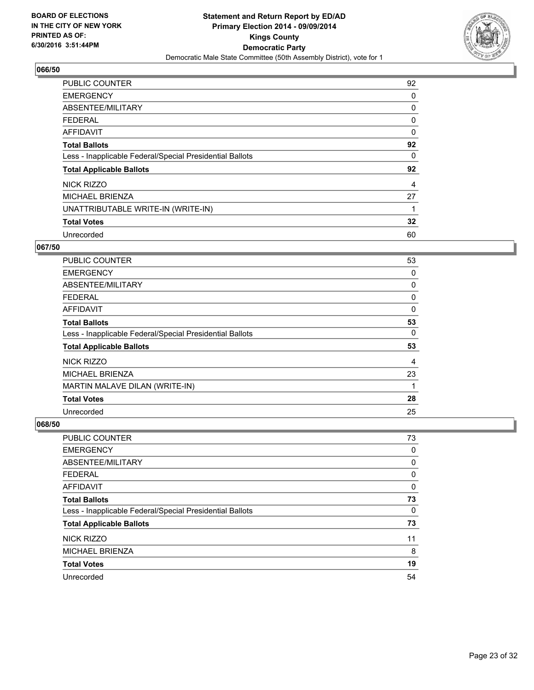

| <b>PUBLIC COUNTER</b>                                    | 92 |
|----------------------------------------------------------|----|
| <b>EMERGENCY</b>                                         | 0  |
| ABSENTEE/MILITARY                                        | 0  |
| <b>FEDERAL</b>                                           | 0  |
| <b>AFFIDAVIT</b>                                         | 0  |
| <b>Total Ballots</b>                                     | 92 |
| Less - Inapplicable Federal/Special Presidential Ballots | 0  |
| <b>Total Applicable Ballots</b>                          | 92 |
| NICK RIZZO                                               | 4  |
| <b>MICHAEL BRIENZA</b>                                   | 27 |
| UNATTRIBUTABLE WRITE-IN (WRITE-IN)                       | 1  |
| <b>Total Votes</b>                                       | 32 |
| Unrecorded                                               | 60 |

### **067/50**

| <b>PUBLIC COUNTER</b>                                    | 53 |
|----------------------------------------------------------|----|
| <b>EMERGENCY</b>                                         | 0  |
| ABSENTEE/MILITARY                                        | 0  |
| <b>FEDERAL</b>                                           | 0  |
| AFFIDAVIT                                                | 0  |
| <b>Total Ballots</b>                                     | 53 |
| Less - Inapplicable Federal/Special Presidential Ballots | 0  |
| <b>Total Applicable Ballots</b>                          | 53 |
| NICK RIZZO                                               | 4  |
| <b>MICHAEL BRIENZA</b>                                   | 23 |
| MARTIN MALAVE DILAN (WRITE-IN)                           | 1  |
| <b>Total Votes</b>                                       | 28 |
| Unrecorded                                               | 25 |

| PUBLIC COUNTER                                           | 73 |
|----------------------------------------------------------|----|
| <b>EMERGENCY</b>                                         | 0  |
| ABSENTEE/MILITARY                                        | 0  |
| <b>FEDERAL</b>                                           | 0  |
| AFFIDAVIT                                                | 0  |
| <b>Total Ballots</b>                                     | 73 |
| Less - Inapplicable Federal/Special Presidential Ballots | 0  |
| <b>Total Applicable Ballots</b>                          | 73 |
| NICK RIZZO                                               | 11 |
| MICHAEL BRIENZA                                          | 8  |
| <b>Total Votes</b>                                       | 19 |
| Unrecorded                                               | 54 |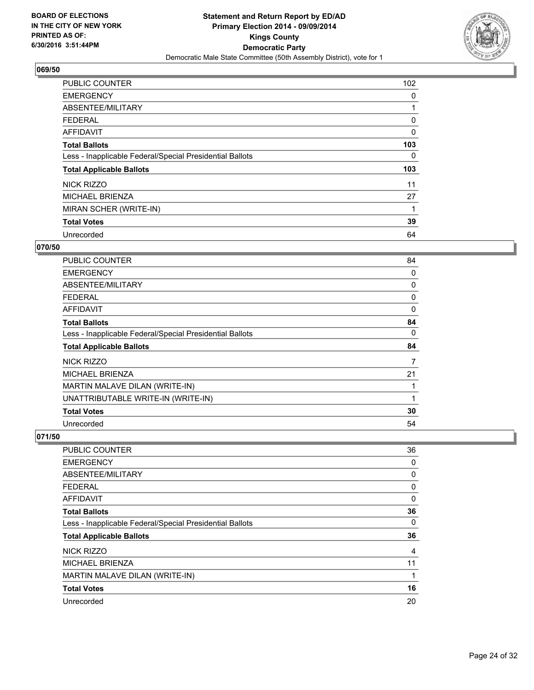

| <b>PUBLIC COUNTER</b>                                    | 102 |
|----------------------------------------------------------|-----|
| <b>EMERGENCY</b>                                         | 0   |
| ABSENTEE/MILITARY                                        |     |
| <b>FEDERAL</b>                                           | 0   |
| AFFIDAVIT                                                | 0   |
| <b>Total Ballots</b>                                     | 103 |
| Less - Inapplicable Federal/Special Presidential Ballots | 0   |
| <b>Total Applicable Ballots</b>                          | 103 |
| NICK RIZZO                                               | 11  |
| <b>MICHAEL BRIENZA</b>                                   | 27  |
| MIRAN SCHER (WRITE-IN)                                   |     |
| <b>Total Votes</b>                                       | 39  |
| Unrecorded                                               | 64  |

## **070/50**

| <b>PUBLIC COUNTER</b>                                    | 84       |
|----------------------------------------------------------|----------|
| <b>EMERGENCY</b>                                         | 0        |
| ABSENTEE/MILITARY                                        | 0        |
| <b>FEDERAL</b>                                           | 0        |
| AFFIDAVIT                                                | $\Omega$ |
| <b>Total Ballots</b>                                     | 84       |
| Less - Inapplicable Federal/Special Presidential Ballots | 0        |
| <b>Total Applicable Ballots</b>                          | 84       |
| NICK RIZZO                                               | 7        |
| <b>MICHAEL BRIENZA</b>                                   | 21       |
| MARTIN MALAVE DILAN (WRITE-IN)                           |          |
| UNATTRIBUTABLE WRITE-IN (WRITE-IN)                       | 1        |
| <b>Total Votes</b>                                       | 30       |
| Unrecorded                                               | 54       |

| PUBLIC COUNTER                                           | 36 |
|----------------------------------------------------------|----|
| <b>EMERGENCY</b>                                         | 0  |
| ABSENTEE/MILITARY                                        | 0  |
| <b>FEDERAL</b>                                           | 0  |
| <b>AFFIDAVIT</b>                                         | 0  |
| <b>Total Ballots</b>                                     | 36 |
| Less - Inapplicable Federal/Special Presidential Ballots | 0  |
| <b>Total Applicable Ballots</b>                          | 36 |
| NICK RIZZO                                               | 4  |
| <b>MICHAEL BRIENZA</b>                                   | 11 |
| MARTIN MALAVE DILAN (WRITE-IN)                           | 1  |
| <b>Total Votes</b>                                       | 16 |
| Unrecorded                                               | 20 |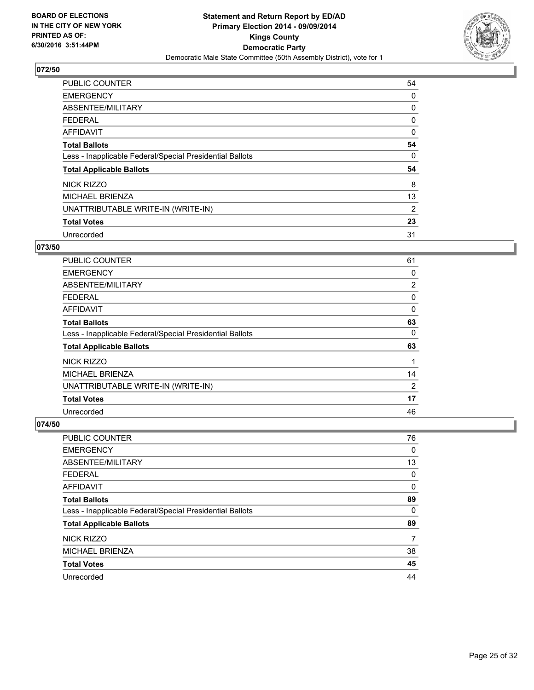

| <b>PUBLIC COUNTER</b>                                    | 54 |
|----------------------------------------------------------|----|
| <b>EMERGENCY</b>                                         | 0  |
| ABSENTEE/MILITARY                                        | 0  |
| <b>FEDERAL</b>                                           | 0  |
| <b>AFFIDAVIT</b>                                         | 0  |
| <b>Total Ballots</b>                                     | 54 |
| Less - Inapplicable Federal/Special Presidential Ballots | 0  |
| <b>Total Applicable Ballots</b>                          | 54 |
| NICK RIZZO                                               | 8  |
| <b>MICHAEL BRIENZA</b>                                   | 13 |
| UNATTRIBUTABLE WRITE-IN (WRITE-IN)                       | 2  |
| <b>Total Votes</b>                                       | 23 |
| Unrecorded                                               | 31 |

# **073/50**

| PUBLIC COUNTER                                           | 61             |
|----------------------------------------------------------|----------------|
| <b>EMERGENCY</b>                                         | 0              |
| ABSENTEE/MILITARY                                        | $\overline{2}$ |
| <b>FEDERAL</b>                                           | 0              |
| AFFIDAVIT                                                | 0              |
| <b>Total Ballots</b>                                     | 63             |
| Less - Inapplicable Federal/Special Presidential Ballots | 0              |
| <b>Total Applicable Ballots</b>                          | 63             |
| NICK RIZZO                                               |                |
| <b>MICHAEL BRIENZA</b>                                   | 14             |
| UNATTRIBUTABLE WRITE-IN (WRITE-IN)                       | 2              |
| <b>Total Votes</b>                                       | 17             |
| Unrecorded                                               | 46             |

| PUBLIC COUNTER                                           | 76 |
|----------------------------------------------------------|----|
| <b>EMERGENCY</b>                                         | 0  |
| ABSENTEE/MILITARY                                        | 13 |
| <b>FEDERAL</b>                                           | 0  |
| AFFIDAVIT                                                | 0  |
| <b>Total Ballots</b>                                     | 89 |
| Less - Inapplicable Federal/Special Presidential Ballots | 0  |
| <b>Total Applicable Ballots</b>                          | 89 |
| NICK RIZZO                                               | 7  |
| <b>MICHAEL BRIENZA</b>                                   | 38 |
| <b>Total Votes</b>                                       | 45 |
| Unrecorded                                               | 44 |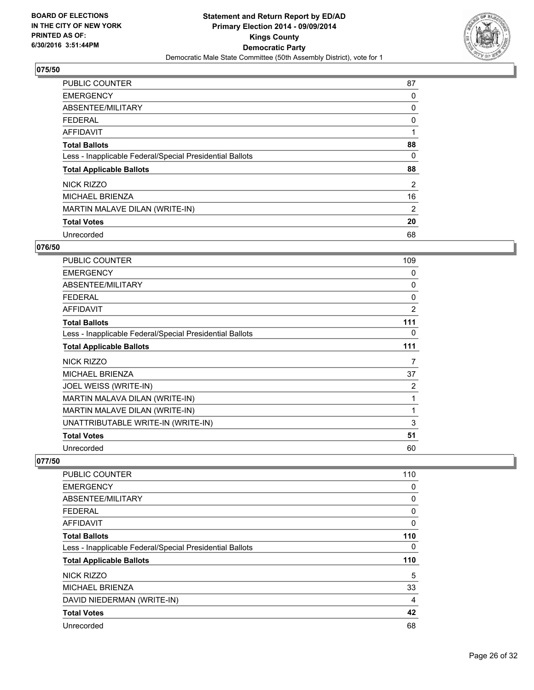

| PUBLIC COUNTER                                           | 87 |
|----------------------------------------------------------|----|
| <b>EMERGENCY</b>                                         | 0  |
| ABSENTEE/MILITARY                                        | 0  |
| <b>FEDERAL</b>                                           | 0  |
| AFFIDAVIT                                                |    |
| <b>Total Ballots</b>                                     | 88 |
| Less - Inapplicable Federal/Special Presidential Ballots | 0  |
| <b>Total Applicable Ballots</b>                          | 88 |
| <b>NICK RIZZO</b>                                        | 2  |
| <b>MICHAEL BRIENZA</b>                                   | 16 |
| MARTIN MALAVE DILAN (WRITE-IN)                           | 2  |
| <b>Total Votes</b>                                       | 20 |
| Unrecorded                                               | 68 |

## **076/50**

| PUBLIC COUNTER                                           | 109 |
|----------------------------------------------------------|-----|
| <b>EMERGENCY</b>                                         | 0   |
| ABSENTEE/MILITARY                                        | 0   |
| <b>FEDERAL</b>                                           | 0   |
| <b>AFFIDAVIT</b>                                         | 2   |
| <b>Total Ballots</b>                                     | 111 |
| Less - Inapplicable Federal/Special Presidential Ballots | 0   |
| <b>Total Applicable Ballots</b>                          | 111 |
| NICK RIZZO                                               | 7   |
| <b>MICHAEL BRIENZA</b>                                   | 37  |
| JOEL WEISS (WRITE-IN)                                    | 2   |
| MARTIN MALAVA DILAN (WRITE-IN)                           | 1   |
| MARTIN MALAVE DILAN (WRITE-IN)                           | 1   |
| UNATTRIBUTABLE WRITE-IN (WRITE-IN)                       | 3   |
| <b>Total Votes</b>                                       | 51  |
| Unrecorded                                               | 60  |

| <b>PUBLIC COUNTER</b>                                    | 110 |
|----------------------------------------------------------|-----|
| <b>EMERGENCY</b>                                         | 0   |
| ABSENTEE/MILITARY                                        | 0   |
| <b>FEDERAL</b>                                           | 0   |
| AFFIDAVIT                                                | 0   |
| <b>Total Ballots</b>                                     | 110 |
| Less - Inapplicable Federal/Special Presidential Ballots | 0   |
| <b>Total Applicable Ballots</b>                          | 110 |
| <b>NICK RIZZO</b>                                        | 5   |
| <b>MICHAEL BRIENZA</b>                                   | 33  |
| DAVID NIEDERMAN (WRITE-IN)                               | 4   |
| <b>Total Votes</b>                                       | 42  |
| Unrecorded                                               | 68  |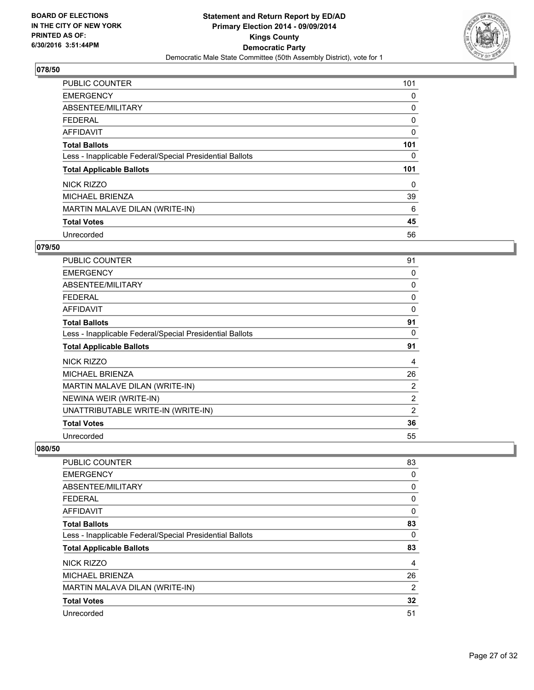

| <b>PUBLIC COUNTER</b>                                    | 101 |
|----------------------------------------------------------|-----|
| <b>EMERGENCY</b>                                         | 0   |
| ABSENTEE/MILITARY                                        | 0   |
| <b>FEDERAL</b>                                           | 0   |
| <b>AFFIDAVIT</b>                                         | 0   |
| <b>Total Ballots</b>                                     | 101 |
| Less - Inapplicable Federal/Special Presidential Ballots | 0   |
| <b>Total Applicable Ballots</b>                          | 101 |
| NICK RIZZO                                               | 0   |
| <b>MICHAEL BRIENZA</b>                                   | 39  |
| MARTIN MALAVE DILAN (WRITE-IN)                           | 6   |
| <b>Total Votes</b>                                       | 45  |
| Unrecorded                                               | 56  |

## **079/50**

| PUBLIC COUNTER                                           | 91           |
|----------------------------------------------------------|--------------|
| <b>EMERGENCY</b>                                         | 0            |
| <b>ABSENTEE/MILITARY</b>                                 | 0            |
| <b>FEDERAL</b>                                           | 0            |
| <b>AFFIDAVIT</b>                                         | $\mathbf{0}$ |
| <b>Total Ballots</b>                                     | 91           |
| Less - Inapplicable Federal/Special Presidential Ballots | 0            |
| <b>Total Applicable Ballots</b>                          | 91           |
| <b>NICK RIZZO</b>                                        | 4            |
| <b>MICHAEL BRIENZA</b>                                   | 26           |
| MARTIN MALAVE DILAN (WRITE-IN)                           | 2            |
| NEWINA WEIR (WRITE-IN)                                   | 2            |
| UNATTRIBUTABLE WRITE-IN (WRITE-IN)                       | 2            |
| <b>Total Votes</b>                                       | 36           |
| Unrecorded                                               | 55           |

| PUBLIC COUNTER                                           | 83 |
|----------------------------------------------------------|----|
| <b>EMERGENCY</b>                                         | 0  |
| ABSENTEE/MILITARY                                        | 0  |
| <b>FEDERAL</b>                                           | 0  |
| AFFIDAVIT                                                | 0  |
| <b>Total Ballots</b>                                     | 83 |
| Less - Inapplicable Federal/Special Presidential Ballots | 0  |
| <b>Total Applicable Ballots</b>                          | 83 |
| NICK RIZZO                                               | 4  |
| <b>MICHAEL BRIENZA</b>                                   | 26 |
| MARTIN MALAVA DILAN (WRITE-IN)                           | 2  |
| <b>Total Votes</b>                                       | 32 |
| Unrecorded                                               | 51 |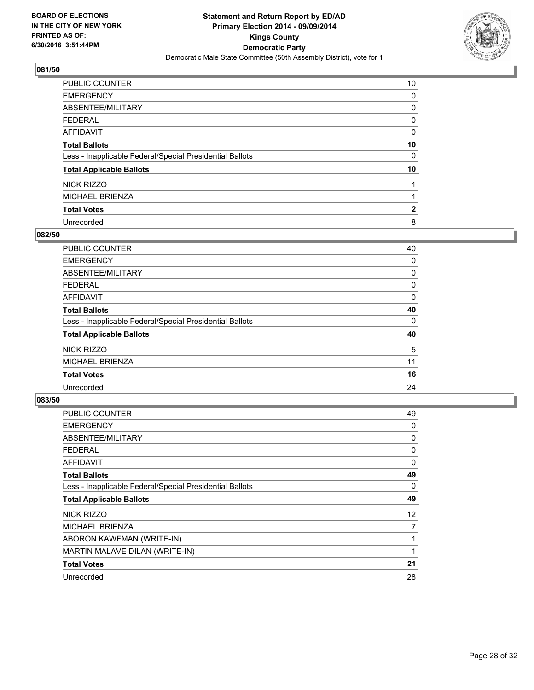

| <b>PUBLIC COUNTER</b>                                    | 10           |
|----------------------------------------------------------|--------------|
| <b>EMERGENCY</b>                                         | 0            |
| ABSENTEE/MILITARY                                        | 0            |
| <b>FEDERAL</b>                                           | 0            |
| <b>AFFIDAVIT</b>                                         | 0            |
| <b>Total Ballots</b>                                     | 10           |
| Less - Inapplicable Federal/Special Presidential Ballots | 0            |
| <b>Total Applicable Ballots</b>                          | 10           |
| NICK RIZZO                                               |              |
| <b>MICHAEL BRIENZA</b>                                   |              |
| <b>Total Votes</b>                                       | $\mathbf{2}$ |
| Unrecorded                                               | 8            |

## **082/50**

| PUBLIC COUNTER                                           | 40 |
|----------------------------------------------------------|----|
| <b>EMERGENCY</b>                                         | 0  |
| ABSENTEE/MILITARY                                        | 0  |
| <b>FEDERAL</b>                                           | 0  |
| <b>AFFIDAVIT</b>                                         | 0  |
| <b>Total Ballots</b>                                     | 40 |
| Less - Inapplicable Federal/Special Presidential Ballots | 0  |
| <b>Total Applicable Ballots</b>                          | 40 |
| NICK RIZZO                                               | 5  |
| <b>MICHAEL BRIENZA</b>                                   | 11 |
| <b>Total Votes</b>                                       | 16 |
| Unrecorded                                               | 24 |

| <b>PUBLIC COUNTER</b>                                    | 49 |
|----------------------------------------------------------|----|
| <b>EMERGENCY</b>                                         | 0  |
| ABSENTEE/MILITARY                                        | 0  |
| <b>FEDERAL</b>                                           | 0  |
| <b>AFFIDAVIT</b>                                         | 0  |
| <b>Total Ballots</b>                                     | 49 |
| Less - Inapplicable Federal/Special Presidential Ballots | 0  |
| <b>Total Applicable Ballots</b>                          | 49 |
| NICK RIZZO                                               | 12 |
| <b>MICHAEL BRIENZA</b>                                   | 7  |
| ABORON KAWFMAN (WRITE-IN)                                | 1  |
| MARTIN MALAVE DILAN (WRITE-IN)                           | 1  |
| <b>Total Votes</b>                                       | 21 |
| Unrecorded                                               | 28 |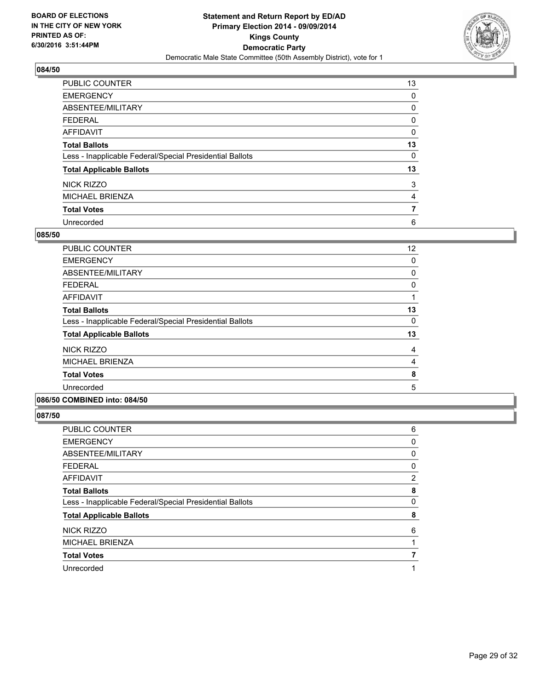

| PUBLIC COUNTER                                           | 13 |
|----------------------------------------------------------|----|
| <b>EMERGENCY</b>                                         | 0  |
| ABSENTEE/MILITARY                                        | 0  |
| <b>FEDERAL</b>                                           | 0  |
| <b>AFFIDAVIT</b>                                         | 0  |
| <b>Total Ballots</b>                                     | 13 |
| Less - Inapplicable Federal/Special Presidential Ballots | 0  |
| <b>Total Applicable Ballots</b>                          | 13 |
| <b>NICK RIZZO</b>                                        | 3  |
| <b>MICHAEL BRIENZA</b>                                   | 4  |
| <b>Total Votes</b>                                       |    |
| Unrecorded                                               | 6  |

#### **085/50**

| <b>PUBLIC COUNTER</b>                                    | 12             |
|----------------------------------------------------------|----------------|
| <b>EMERGENCY</b>                                         | 0              |
| ABSENTEE/MILITARY                                        | $\mathbf 0$    |
| <b>FEDERAL</b>                                           | 0              |
| AFFIDAVIT                                                | 1              |
| <b>Total Ballots</b>                                     | 13             |
| Less - Inapplicable Federal/Special Presidential Ballots | 0              |
| <b>Total Applicable Ballots</b>                          | 13             |
| NICK RIZZO                                               | 4              |
| <b>MICHAEL BRIENZA</b>                                   | $\overline{4}$ |
| <b>Total Votes</b>                                       | 8              |
| Unrecorded                                               | 5              |
| 086/50 COMBINED into: 084/50                             |                |

| PUBLIC COUNTER                                           | 6 |
|----------------------------------------------------------|---|
| <b>EMERGENCY</b>                                         | 0 |
| ABSENTEE/MILITARY                                        | 0 |
| FEDERAL                                                  | 0 |
| AFFIDAVIT                                                | 2 |
| <b>Total Ballots</b>                                     | 8 |
| Less - Inapplicable Federal/Special Presidential Ballots | 0 |
| <b>Total Applicable Ballots</b>                          | 8 |
| <b>NICK RIZZO</b>                                        | 6 |
| <b>MICHAEL BRIENZA</b>                                   |   |
| <b>Total Votes</b>                                       |   |
| Unrecorded                                               |   |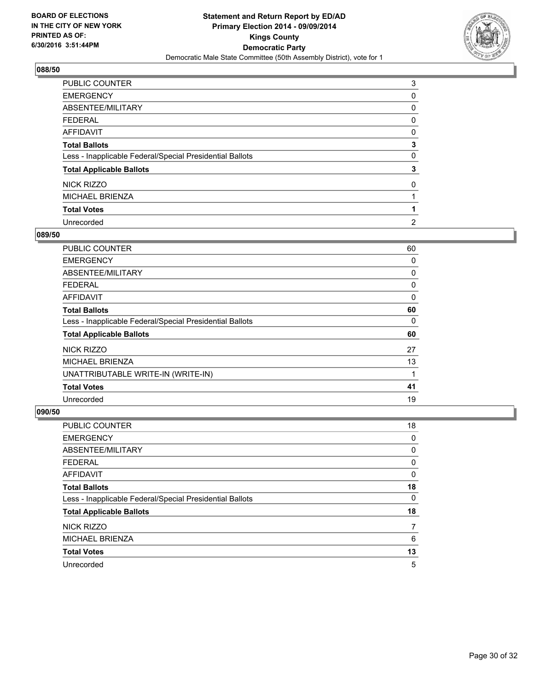

| <b>PUBLIC COUNTER</b>                                    | 3              |
|----------------------------------------------------------|----------------|
| <b>EMERGENCY</b>                                         | 0              |
| ABSENTEE/MILITARY                                        | 0              |
| <b>FEDERAL</b>                                           | 0              |
| <b>AFFIDAVIT</b>                                         | 0              |
| <b>Total Ballots</b>                                     | 3              |
| Less - Inapplicable Federal/Special Presidential Ballots | 0              |
| <b>Total Applicable Ballots</b>                          | 3              |
| <b>NICK RIZZO</b>                                        | 0              |
| <b>MICHAEL BRIENZA</b>                                   |                |
| <b>Total Votes</b>                                       |                |
| Unrecorded                                               | $\overline{2}$ |

#### **089/50**

| PUBLIC COUNTER                                           | 60 |
|----------------------------------------------------------|----|
| <b>EMERGENCY</b>                                         | 0  |
| ABSENTEE/MILITARY                                        | 0  |
| <b>FEDERAL</b>                                           | 0  |
| AFFIDAVIT                                                | 0  |
| <b>Total Ballots</b>                                     | 60 |
| Less - Inapplicable Federal/Special Presidential Ballots | 0  |
| <b>Total Applicable Ballots</b>                          | 60 |
| NICK RIZZO                                               | 27 |
| <b>MICHAEL BRIENZA</b>                                   | 13 |
| UNATTRIBUTABLE WRITE-IN (WRITE-IN)                       | 1  |
| <b>Total Votes</b>                                       | 41 |
| Unrecorded                                               | 19 |

| PUBLIC COUNTER                                           | 18 |
|----------------------------------------------------------|----|
| <b>EMERGENCY</b>                                         | 0  |
| ABSENTEE/MILITARY                                        | 0  |
| <b>FEDERAL</b>                                           | 0  |
| AFFIDAVIT                                                | 0  |
| <b>Total Ballots</b>                                     | 18 |
| Less - Inapplicable Federal/Special Presidential Ballots | 0  |
| <b>Total Applicable Ballots</b>                          | 18 |
| NICK RIZZO                                               | 7  |
| <b>MICHAEL BRIENZA</b>                                   | 6  |
| <b>Total Votes</b>                                       | 13 |
| Unrecorded                                               | 5  |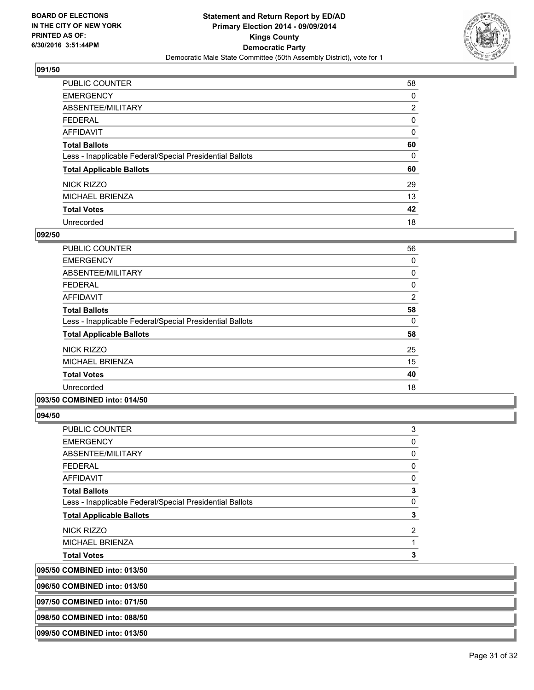

| PUBLIC COUNTER                                           | 58             |
|----------------------------------------------------------|----------------|
| <b>EMERGENCY</b>                                         | 0              |
| ABSENTEE/MILITARY                                        | $\overline{2}$ |
| <b>FEDERAL</b>                                           | 0              |
| AFFIDAVIT                                                | 0              |
| <b>Total Ballots</b>                                     | 60             |
| Less - Inapplicable Federal/Special Presidential Ballots | 0              |
| <b>Total Applicable Ballots</b>                          | 60             |
| NICK RIZZO                                               | 29             |
| <b>MICHAEL BRIENZA</b>                                   | 13             |
| <b>Total Votes</b>                                       | 42             |
| Unrecorded                                               | 18             |

#### **092/50**

| PUBLIC COUNTER                                           | 56             |
|----------------------------------------------------------|----------------|
| <b>EMERGENCY</b>                                         | 0              |
| ABSENTEE/MILITARY                                        | 0              |
| <b>FEDERAL</b>                                           | 0              |
| <b>AFFIDAVIT</b>                                         | $\overline{2}$ |
| <b>Total Ballots</b>                                     | 58             |
| Less - Inapplicable Federal/Special Presidential Ballots | 0              |
| <b>Total Applicable Ballots</b>                          | 58             |
| NICK RIZZO                                               | 25             |
| <b>MICHAEL BRIENZA</b>                                   | 15             |
| <b>Total Votes</b>                                       | 40             |
| Unrecorded                                               | 18             |
| .<br>-- - - - - -                                        |                |

#### **093/50 COMBINED into: 014/50**

**094/50** 

| PUBLIC COUNTER                                           | 3 |
|----------------------------------------------------------|---|
| EMERGENCY                                                | 0 |
| ABSENTEE/MILITARY                                        | 0 |
| FEDERAL                                                  | 0 |
| AFFIDAVIT                                                | 0 |
| <b>Total Ballots</b>                                     | 3 |
| Less - Inapplicable Federal/Special Presidential Ballots | 0 |
| <b>Total Applicable Ballots</b>                          | 3 |
| NICK RIZZO                                               | 2 |
| MICHAEL BRIENZA                                          |   |
| <b>Total Votes</b>                                       | 3 |
|                                                          |   |

**095/50 COMBINED into: 013/50**

**096/50 COMBINED into: 013/50**

**097/50 COMBINED into: 071/50**

**098/50 COMBINED into: 088/50**

**099/50 COMBINED into: 013/50**